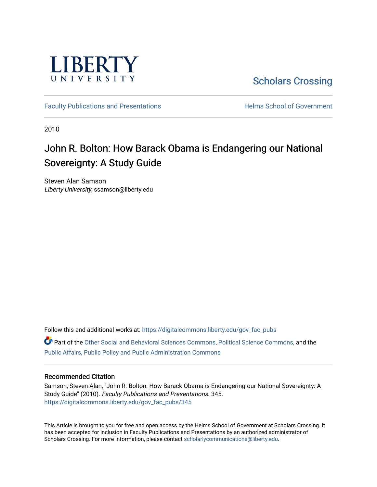

[Scholars Crossing](https://digitalcommons.liberty.edu/) 

[Faculty Publications and Presentations](https://digitalcommons.liberty.edu/gov_fac_pubs) **Exercise School of Government** 

2010

## John R. Bolton: How Barack Obama is Endangering our National Sovereignty: A Study Guide

Steven Alan Samson Liberty University, ssamson@liberty.edu

Follow this and additional works at: [https://digitalcommons.liberty.edu/gov\\_fac\\_pubs](https://digitalcommons.liberty.edu/gov_fac_pubs?utm_source=digitalcommons.liberty.edu%2Fgov_fac_pubs%2F345&utm_medium=PDF&utm_campaign=PDFCoverPages)

Part of the [Other Social and Behavioral Sciences Commons](http://network.bepress.com/hgg/discipline/437?utm_source=digitalcommons.liberty.edu%2Fgov_fac_pubs%2F345&utm_medium=PDF&utm_campaign=PDFCoverPages), [Political Science Commons](http://network.bepress.com/hgg/discipline/386?utm_source=digitalcommons.liberty.edu%2Fgov_fac_pubs%2F345&utm_medium=PDF&utm_campaign=PDFCoverPages), and the [Public Affairs, Public Policy and Public Administration Commons](http://network.bepress.com/hgg/discipline/393?utm_source=digitalcommons.liberty.edu%2Fgov_fac_pubs%2F345&utm_medium=PDF&utm_campaign=PDFCoverPages)

#### Recommended Citation

Samson, Steven Alan, "John R. Bolton: How Barack Obama is Endangering our National Sovereignty: A Study Guide" (2010). Faculty Publications and Presentations. 345. [https://digitalcommons.liberty.edu/gov\\_fac\\_pubs/345](https://digitalcommons.liberty.edu/gov_fac_pubs/345?utm_source=digitalcommons.liberty.edu%2Fgov_fac_pubs%2F345&utm_medium=PDF&utm_campaign=PDFCoverPages)

This Article is brought to you for free and open access by the Helms School of Government at Scholars Crossing. It has been accepted for inclusion in Faculty Publications and Presentations by an authorized administrator of Scholars Crossing. For more information, please contact [scholarlycommunications@liberty.edu.](mailto:scholarlycommunications@liberty.edu)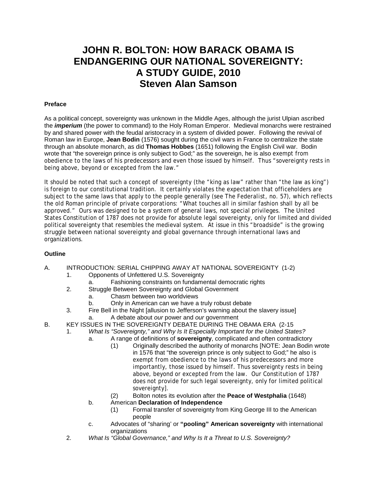### **JOHN R. BOLTON: HOW BARACK OBAMA IS ENDANGERING OUR NATIONAL SOVEREIGNTY: A STUDY GUIDE, 2010 Steven Alan Samson**

#### **Preface**

As a political concept, sovereignty was unknown in the Middle Ages, although the jurist Ulpian ascribed the *imperium* (the power to command) to the Holy Roman Emperor. Medieval monarchs were restrained by and shared power with the feudal aristocracy in a system of divided power. Following the revival of Roman law in Europe, **Jean Bodin** (1576) sought during the civil wars in France to centralize the state through an absolute monarch, as did **Thomas Hobbes** (1651) following the English Civil war. Bodin wrote that "the sovereign prince is only subject to God;" as the sovereign, he is also exempt from obedience to the laws of his predecessors and even those issued by himself. Thus "sovereignty rests in being above, beyond or excepted from the law."

It should be noted that such a concept of sovereignty (the "king as law" rather than "the law as king") is foreign to our constitutional tradition. It certainly violates the expectation that officeholders are subject to the same laws that apply to the people generally (see *The Federalist*, no. 57), which reflects the old Roman principle of private corporations: "What touches all in similar fashion shall by all be approved." Ours was designed to be a system of general laws, not special privileges. The United States Constitution of 1787 does not provide for absolute legal sovereignty, only for limited and divided political sovereignty that resembles the medieval system. At issue in this "broadside" is the growing struggle between national sovereignty and global governance through international laws and organizations.

#### **Outline**

- A. INTRODUCTION: SERIAL CHIPPING AWAY AT NATIONAL SOVEREIGNTY (1-2)
	- 1. Opponents of Unfettered U.S. Sovereignty
	- a. Fashioning constraints on fundamental democratic rights
	- 2. Struggle Between Sovereignty and Global Government
		- a. Chasm between two worldviews
		- b. Only in American can we have a truly robust debate
	- 3. Fire Bell in the Night [allusion to Jefferson's warning about the slavery issue] a. A debate about *our* power and *our* government
- B. KEY ISSUES IN THE SOVEREIGNTY DEBATE DURING THE OBAMA ERA (2-15
	- 1. *What Is "Sovereignty," and Why Is It Especially Important for the United States?*
		- a. A range of definitions of **sovereignty**, complicated and often contradictory
			- (1) Originally described the authority of monarchs [NOTE: Jean Bodin wrote in 1576 that "the sovereign prince is only subject to God;" he also is exempt from obedience to the laws of his predecessors and more importantly, those issued by himself. Thus sovereignty rests in being above, beyond or excepted from the law. Our Constitution of 1787 does not provide for such legal sovereignty, only for limited political sovereignty].
			- (2) Bolton notes its evolution after the **Peace of Westphalia** (1648)
		- b. American **Declaration of Independence**
			- Formal transfer of sovereignty from King George III to the American people
		- c. Advocates of "sharing' or **"pooling" American sovereignty** with international organizations
	- 2. *What Is "Global Governance," and Why Is It a Threat to U.S. Sovereignty?*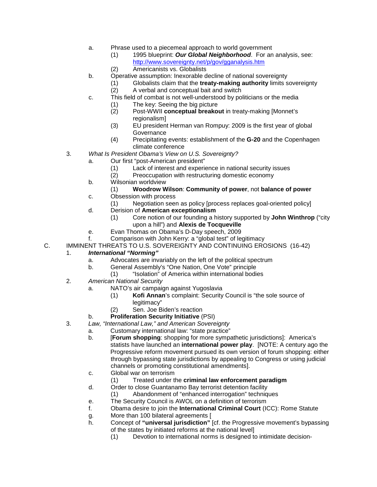- a. Phrase used to a piecemeal approach to world government
	- (1) 1995 blueprint: *Our Global Neighborhood*. For an analysis, see: <http://www.sovereignty.net/p/gov/gganalysis.htm>
	- (2) Americanists vs. Globalists
- b. Operative assumption: Inexorable decline of national sovereignty
	- (1) Globalists claim that the **treaty-making authority** limits sovereignty
	- (2) A verbal and conceptual bait and switch
- c. This field of combat is not well-understood by politicians or the media
	- (1) The key: Seeing the big picture<br>(2) Post-WWII conceptual breako
	- Post-WWII **conceptual breakout** in treaty-making [Monnet's regionalism]
	- (3) EU president Herman van Rompuy: 2009 is the first year of global **Governance**
	- (4) Precipitating events: establishment of the **G-20** and the Copenhagen climate conference
- 3. *What Is President Obama's View on U.S. Sovereignty?*
	- a. Our first "post-American president"
		- (1) Lack of interest and experience in national security issues
		- Preoccupation with restructuring domestic economy
	- b. Wilsonian worldview

#### (1) **Woodrow Wilson**: **Community of power**, not **balance of power**

- c. Obsession with process
	- (1) Negotiation seen as policy [process replaces goal-oriented policy]
- d. Derision of **American exceptionalism**
	- (1) Core notion of our founding a history supported by **John Winthrop** ("city upon a hill") and **Alexis de Tocqueville**
- e. Evan Thomas on Obama's D-Day speech, 2009
- f. Comparison with John Kerry: a "global test" of legitimacy
- C. IMMINENT THREATS TO U.S. SOVEREIGNTY AND CONTINUING EROSIONS (16-42)

#### 1. *International "Norming"*

- a. Advocates are invariably on the left of the political spectrum
- b. General Assembly's "One Nation, One Vote" principle
	- (1) "Isolation" of America within international bodies
- 2. *American National Security*
	- a. NATO's air campaign against Yugoslavia
		- (1) **Kofi Annan**'s complaint: Security Council is "the sole source of legitimacy"
		- (2) Sen. Joe Biden's reaction
	- b. **Proliferation Security Initiative** (PSI)
- 3. *Law, "International Law," and American Sovereignty*
	- a. Customary international law: "state practice"<br>b. **Forum shopping**: shopping for more sympa
		- **[Forum shopping**: shopping for more sympathetic jurisdictions]: America's statists have launched an **international power play**. [NOTE: A century ago the Progressive reform movement pursued its own version of forum shopping: either through bypassing state jurisdictions by appealing to Congress or using judicial channels or promoting constitutional amendments].
		- c. Global war on terrorism
			- (1) Treated under the **criminal law enforcement paradigm**
		- d. Order to close Guantanamo Bay terrorist detention facility
			- (1) Abandonment of "enhanced interrogation" techniques
		- e. The Security Council is AWOL on a definition of terrorism
		- f. Obama desire to join the **International Criminal Court** (ICC): Rome Statute
		- g. More than 100 bilateral agreements [
		- h. Concept of **"universal jurisdiction"** [cf. the Progressive movement's bypassing of the states by initiated reforms at the national level]
			- (1) Devotion to international norms is designed to intimidate decision-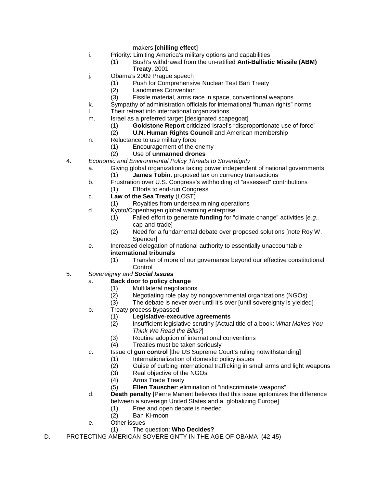makers [**chilling effect**]

- i. Priority: Limiting America's military options and capabilities
	- (1) Bush's withdrawal from the un-ratified **Anti-Ballistic Missile (ABM) Treaty**, 2001
- j. Obama's 2009 Prague speech
	- (1) Push for Comprehensive Nuclear Test Ban Treaty
	- Landmines Convention
	- (3) Fissile material, arms race in space, conventional weapons
- k. Sympathy of administration officials for international "human rights" norms<br>I. Their retreat into international organizations
- Their retreat into international organizations
- m. Israel as a preferred target [designated scapegoat]
	- (1) **Goldstone Report** criticized Israel's "disproportionate use of force"
	- **U.N. Human Rights Council** and American membership
- n. Reluctance to use military force
	- (1) Encouragement of the enemy
	- (2) Use of **unmanned drones**
- 4. *Economic and Environmental Policy Threats to Sovereignty*
	- a. Giving global organizations taxing power independent of national governments (1) **James Tobin**: proposed tax on currency transactions
	- b. Frustration over U.S. Congress's withholding of "assessed" contributions
	- (1) Efforts to end-run Congress
	- c. **Law of the Sea Treaty** (LOST)
		- (1) Royalties from undersea mining operations
	- d. Kyoto/Copenhagen global warming enterprise
		- (1) Failed effort to generate **funding** for "climate change" activities [*e.g.,*  cap-and-trade]
		- (2) Need for a fundamental debate over proposed solutions [note Roy W. **Spencerl**
	- e. Increased delegation of national authority to essentially unaccountable **international tribunals**
		- (1) Transfer of more of our governance beyond our effective constitutional **Control**
- 5. *Sovereignty and Social Issues*
	- a. **Back door to policy change**
		- (1) Multilateral negotiations<br>(2) Negotiating role play by
			- Negotiating role play by nongovernmental organizations (NGOs)
		- (3) The debate is never over until it's over [until sovereignty is yielded]
	- b. Treaty process bypassed
		- (1) **Legislative-executive agreements**
		- (2) Insufficient legislative scrutiny [Actual title of a book: *What Makes You Think We Read the Bills?*]
		- (3) Routine adoption of international conventions<br>(4) Treaties must be taken seriously
		- Treaties must be taken seriously
	- c. Issue of **gun control** [the US Supreme Court's ruling notwithstanding]
		- (1) Internationalization of domestic policy issues<br>(2) Guise of curbing international trafficking in sm
		- Guise of curbing international trafficking in small arms and light weapons
		- (3) Real objective of the NGOs
		- (4) Arms Trade Treaty
		- (5) **Ellen Tauscher**: elimination of "indiscriminate weapons"
	- d. **Death penalty** [Pierre Manent believes that this issue epitomizes the difference between a sovereign United States and a globalizing Europe]
		- (1) Free and open debate is needed
		- (2) Ban Ki-moon
	- e. Other issues
		- (1) The question: **Who Decides?**
- D. PROTECTING AMERICAN SOVEREIGNTY IN THE AGE OF OBAMA (42-45)